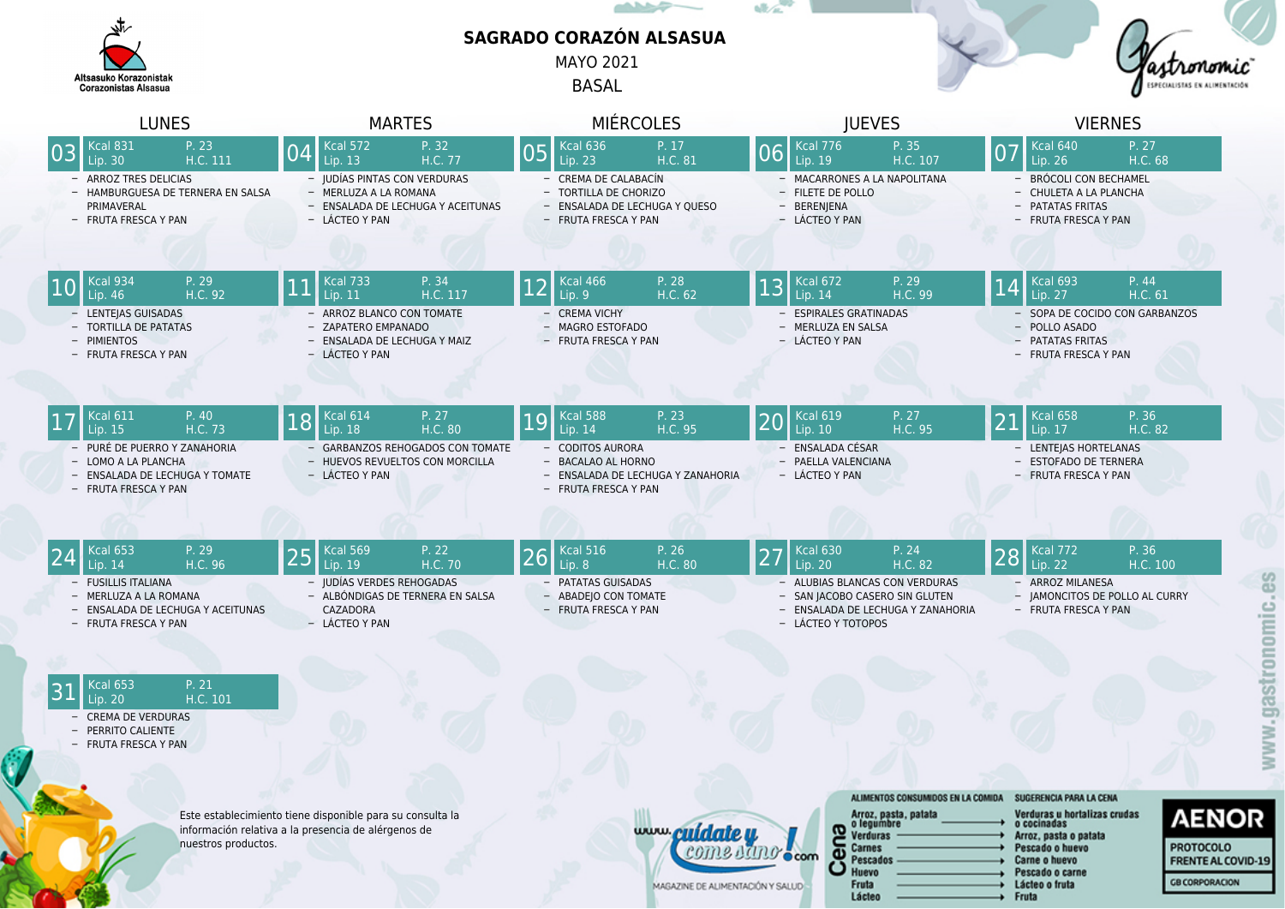|                                                       |                                                                                                                                                                 |    |                                                                                                                                  |                                                                                         |    | <b>ALL COMPOSE</b>                                                                                                                   |                         | ulta. |                                                                                                                      |                                                       |    |                                                                                                                            |                                                    |              |
|-------------------------------------------------------|-----------------------------------------------------------------------------------------------------------------------------------------------------------------|----|----------------------------------------------------------------------------------------------------------------------------------|-----------------------------------------------------------------------------------------|----|--------------------------------------------------------------------------------------------------------------------------------------|-------------------------|-------|----------------------------------------------------------------------------------------------------------------------|-------------------------------------------------------|----|----------------------------------------------------------------------------------------------------------------------------|----------------------------------------------------|--------------|
| Altsasuko Korazonistak<br><b>Corazonistas Alsasua</b> |                                                                                                                                                                 |    | <b>SAGRADO CORAZÓN ALSASUA</b><br><b>MAYO 2021</b><br><b>BASAL</b>                                                               |                                                                                         |    |                                                                                                                                      |                         |       |                                                                                                                      |                                                       |    |                                                                                                                            |                                                    |              |
|                                                       | <b>LUNES</b>                                                                                                                                                    |    | <b>MARTES</b>                                                                                                                    |                                                                                         |    | <b>MIÉRCOLES</b>                                                                                                                     |                         |       | <b>JUEVES</b>                                                                                                        |                                                       |    | <b>VIERNES</b>                                                                                                             |                                                    |              |
|                                                       | <b>Kcal 831</b><br>P. 23<br>H.C. 111<br>Lip. 30<br>- ARROZ TRES DELICIAS<br>- HAMBURGUESA DE TERNERA EN SALSA<br>PRIMAVERAL<br>- FRUTA FRESCA Y PAN             |    | <b>Kcal 572</b><br>Lip. 13<br>- JUDÍAS PINTAS CON VERDURAS<br>- MERLUZA A LA ROMANA<br>- LÁCTEO Y PAN                            | P. 32<br>H.C. 77<br>- ENSALADA DE LECHUGA Y ACEITUNAS                                   | 05 | <b>Kcal 636</b><br>Lip. 23<br>- CREMA DE CALABACÍN<br>- TORTILLA DE CHORIZO<br>- ENSALADA DE LECHUGA Y QUESO<br>- FRUTA FRESCA Y PAN | P. 17<br>H.C. 81        | 06    | <b>Kcal 776</b><br>Lip. 19<br>- MACARRONES A LA NAPOLITANA<br>- FILETE DE POLLO<br>- BERENJENA<br>- LÁCTEO Y PAN     | P. 35<br>H.C. 107                                     | 07 | <b>Kcal 640</b><br>Lip. 26<br>- BRÓCOLI CON BECHAMEL<br>- CHULETA A LA PLANCHA<br>- PATATAS FRITAS<br>- FRUTA FRESCA Y PAN | P. 27<br>H.C. 68                                   |              |
|                                                       | Kcal 934<br>P. 29<br>H.C. 92<br>Lip. 46<br>- LENTEJAS GUISADAS<br>- TORTILLA DE PATATAS<br>- PIMIENTOS<br>- FRUTA FRESCA Y PAN                                  |    | <b>Kcal 733</b><br>Lip. 11<br>- ARROZ BLANCO CON TOMATE<br>- ZAPATERO EMPANADO<br>- ENSALADA DE LECHUGA Y MAIZ<br>- LÁCTEO Y PAN | P. 34<br>H.C. 117                                                                       |    | <b>Kcal 466</b><br>Lip. 9<br>- CREMA VICHY<br>- MAGRO ESTOFADO<br>- FRUTA FRESCA Y PAN                                               | P. 28<br>H.C. 62        | 13    | <b>Kcal 672</b><br>Lip. 14<br>- ESPIRALES GRATINADAS<br>- MERLUZA EN SALSA<br>- LÁCTEO Y PAN                         | P. 29<br>H.C. 99                                      | .4 | <b>Kcal 693</b><br>Lip. 27<br>- POLLO ASADO<br>- PATATAS FRITAS<br>- FRUTA FRESCA Y PAN                                    | P. 44<br>H.C. 61<br>- SOPA DE COCIDO CON GARBANZOS |              |
|                                                       | <b>Kcal 611</b><br>P. 40<br>H.C. 73<br>Lip. 15<br>- PURÉ DE PUERRO Y ZANAHORIA<br>- LOMO A LA PLANCHA<br>- ENSALADA DE LECHUGA Y TOMATE<br>- FRUTA FRESCA Y PAN | 18 | <b>Kcal 614</b><br>Lip. 18<br>- LÁCTEO Y PAN                                                                                     | P. 27<br>H.C. 80<br>- GARBANZOS REHOGADOS CON TOMATE<br>- HUEVOS REVUELTOS CON MORCILLA |    | Kcal 588<br>Lip. 14<br>- CODITOS AURORA<br>- BACALAO AL HORNO<br>- ENSALADA DE LECHUGA Y ZANAHORIA<br>- FRUTA FRESCA Y PAN           | P. 23<br>H.C. 95        |       | <b>Kcal 619</b><br>Lip. 10<br>- ENSALADA CÉSAR<br>- PAELLA VALENCIANA<br>- LÁCTEO Y PAN                              | P. 27<br>H.C. 95                                      | 21 | $\overline{Kc}$ al 658<br>Lip. 17<br>- LENTEJAS HORTELANAS<br>- ESTOFADO DE TERNERA<br>- FRUTA FRESCA Y PAN                | P. 36<br>H.C. 82                                   |              |
|                                                       | <b>Kcal 653</b><br>P. 29<br>H.C. 96<br>Lip. 14<br>- FUSILLIS ITALIANA<br>- MERLUZA A LA ROMANA<br>- ENSALADA DE LECHUGA Y ACEITUNAS<br>- FRUTA FRESCA Y PAN     | 25 | <b>Kcal 569</b><br>Lip. 19<br>- JUDÍAS VERDES REHOGADAS<br>CAZADORA<br>- LÁCTEO Y PAN                                            | P. 22<br>H.C. 70<br>- ALBÓNDIGAS DE TERNERA EN SALSA                                    | 26 | <b>Kcal 516</b><br>Lip. 8<br>- PATATAS GUISADAS<br>- ABADEJO CON TOMATE<br>- FRUTA FRESCA Y PAN                                      | P. 26<br><b>H.C. 80</b> |       | <b>Kcal 630</b><br>Lip. 20<br>- ALUBIAS BLANCAS CON VERDURAS<br>- SAN JACOBO CASERO SIN GLUTEN<br>- LÁCTEO Y TOTOPOS | P. 24<br>H.C. 82<br>- ENSALADA DE LECHUGA Y ZANAHORIA | 28 | <b>Kcal 772</b><br>Lip. 22<br>- ARROZ MILANESA<br>- JAMONCITOS DE POLLO AL CURRY<br>- FRUTA FRESCA Y PAN                   | P. 36<br>H.C. 100                                  | 89<br>onomic |
|                                                       | P. 21<br><b>Kcal 653</b><br>H.C. 101<br>Lip. 20<br>- CREMA DE VERDURAS<br>- PERRITO CALIENTE<br>- FRUTA FRESCA Y PAN                                            |    |                                                                                                                                  |                                                                                         |    |                                                                                                                                      |                         |       |                                                                                                                      |                                                       |    |                                                                                                                            |                                                    |              |

- $31$  Kcal 653 P. 21<br>H.C. 101 - CREMA DE VERDURAS
	- PERRITO CALIENTE
	- FRUTA FRESCA Y PAN

6

Este establecimiento tiene disponible para su consulta la información relativa a la presencia de alérgenos de nuestros productos.



| ALIMENTOS CONSUMIDOS EN LA COMIDA                                                           | SUGERENCIA PARA LA CENA                                                                                                     |
|---------------------------------------------------------------------------------------------|-----------------------------------------------------------------------------------------------------------------------------|
| Arroz, pasta, patata<br>o legumbre<br><b>Verduras</b><br><b>Carnes</b><br>Pescados<br>Huevo | Verduras u hortalizas crudas<br>o cocinadas<br>Arroz, pasta o patata<br>Pescado o huevo<br>Carne o huevo<br>Pescado o carne |
| <b>Fruta</b>                                                                                | Lácteo o fruta                                                                                                              |
| Lácteo                                                                                      | Fruta                                                                                                                       |

Fruta<br>Lácteo